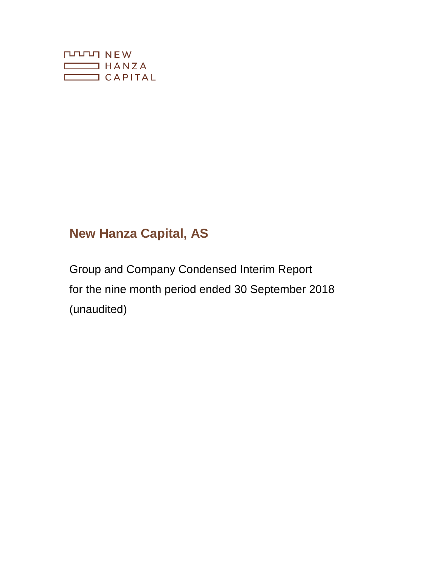

# **New Hanza Capital, AS**

Group and Company Condensed Interim Report for the nine month period ended 30 September 2018 (unaudited)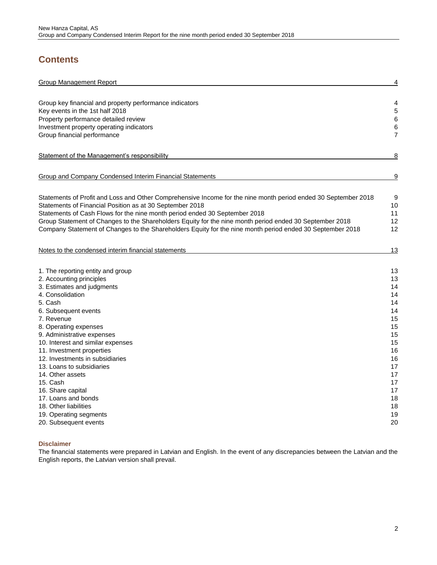## **Contents**

| <b>Group Management Report</b>                                                                                 | $\overline{4}$ |
|----------------------------------------------------------------------------------------------------------------|----------------|
| Group key financial and property performance indicators                                                        | 4              |
| Key events in the 1st half 2018                                                                                | $\sqrt{5}$     |
| Property performance detailed review                                                                           | $\,6\,$        |
| Investment property operating indicators                                                                       | $\,6$          |
| Group financial performance                                                                                    | 7              |
| Statement of the Management's responsibility                                                                   | 8              |
| Group and Company Condensed Interim Financial Statements                                                       | <u>9</u>       |
| Statements of Profit and Loss and Other Comprehensive Income for the nine month period ended 30 September 2018 | 9              |
| Statements of Financial Position as at 30 September 2018                                                       | 10             |
| Statements of Cash Flows for the nine month period ended 30 September 2018                                     | 11             |
| Group Statement of Changes to the Shareholders Equity for the nine month period ended 30 September 2018        | 12             |
| Company Statement of Changes to the Shareholders Equity for the nine month period ended 30 September 2018      | 12             |
| Notes to the condensed interim financial statements                                                            | 13             |
| 1. The reporting entity and group                                                                              | 13             |
| 2. Accounting principles                                                                                       | 13             |
| 3. Estimates and judgments                                                                                     | 14             |
| 4. Consolidation                                                                                               | 14             |
| 5. Cash                                                                                                        | 14             |
| 6. Subsequent events                                                                                           | 14             |
| 7. Revenue                                                                                                     | 15             |
| 8. Operating expenses                                                                                          | 15             |
| 9. Administrative expenses                                                                                     | 15             |
| 10. Interest and similar expenses                                                                              | 15             |
| 11. Investment properties                                                                                      | 16             |
| 12. Investments in subsidiaries                                                                                | 16             |
| 13. Loans to subsidiaries                                                                                      | 17             |
| 14. Other assets                                                                                               | 17             |
| 15. Cash                                                                                                       | 17             |
| 16. Share capital                                                                                              | 17             |
| 17. Loans and bonds                                                                                            | 18             |
| 18. Other liabilities                                                                                          | 18             |
| 19. Operating segments                                                                                         | 19             |
| 20. Subsequent events                                                                                          | 20             |

## **Disclaimer**

The financial statements were prepared in Latvian and English. In the event of any discrepancies between the Latvian and the English reports, the Latvian version shall prevail.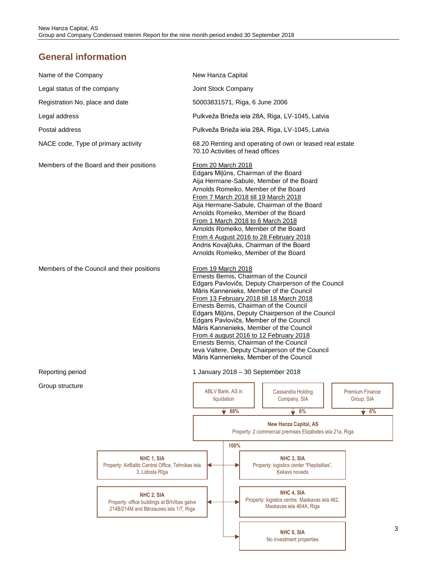## **General information**

| Name of the Company                        |                                                                                                                                                                                            | New Hanza Capital                                                                                                                                                                                                                                                                                                                                                                                                                                                                             |                                                                                                                                                                                                                                                                                                                                                                                                                                                                                                                                                                                     |      |                                  |  |                                                                                                                                                                      |  |                                            |
|--------------------------------------------|--------------------------------------------------------------------------------------------------------------------------------------------------------------------------------------------|-----------------------------------------------------------------------------------------------------------------------------------------------------------------------------------------------------------------------------------------------------------------------------------------------------------------------------------------------------------------------------------------------------------------------------------------------------------------------------------------------|-------------------------------------------------------------------------------------------------------------------------------------------------------------------------------------------------------------------------------------------------------------------------------------------------------------------------------------------------------------------------------------------------------------------------------------------------------------------------------------------------------------------------------------------------------------------------------------|------|----------------------------------|--|----------------------------------------------------------------------------------------------------------------------------------------------------------------------|--|--------------------------------------------|
| Legal status of the company                |                                                                                                                                                                                            | Joint Stock Company                                                                                                                                                                                                                                                                                                                                                                                                                                                                           |                                                                                                                                                                                                                                                                                                                                                                                                                                                                                                                                                                                     |      |                                  |  |                                                                                                                                                                      |  |                                            |
| Registration No, place and date            |                                                                                                                                                                                            | 50003831571, Riga, 6 June 2006                                                                                                                                                                                                                                                                                                                                                                                                                                                                |                                                                                                                                                                                                                                                                                                                                                                                                                                                                                                                                                                                     |      |                                  |  |                                                                                                                                                                      |  |                                            |
| Legal address                              |                                                                                                                                                                                            |                                                                                                                                                                                                                                                                                                                                                                                                                                                                                               |                                                                                                                                                                                                                                                                                                                                                                                                                                                                                                                                                                                     |      |                                  |  | Pulkveža Brieža iela 28A, Riga, LV-1045, Latvia                                                                                                                      |  |                                            |
| Postal address                             |                                                                                                                                                                                            |                                                                                                                                                                                                                                                                                                                                                                                                                                                                                               |                                                                                                                                                                                                                                                                                                                                                                                                                                                                                                                                                                                     |      |                                  |  | Pulkveža Brieža iela 28A, Riga, LV-1045, Latvia                                                                                                                      |  |                                            |
| NACE code, Type of primary activity        |                                                                                                                                                                                            |                                                                                                                                                                                                                                                                                                                                                                                                                                                                                               |                                                                                                                                                                                                                                                                                                                                                                                                                                                                                                                                                                                     |      | 70.10 Activities of head offices |  | 68.20 Renting and operating of own or leased real estate                                                                                                             |  |                                            |
|                                            | Members of the Board and their positions                                                                                                                                                   | <b>From 20 March 2018</b><br>Edgars Milūns, Chairman of the Board<br>Aija Hermane-Sabule, Member of the Board<br>Arnolds Romeiko, Member of the Board<br>From 7 March 2018 till 19 March 2018<br>Aija Hermane-Sabule, Chairman of the Board<br>Arnolds Romeiko, Member of the Board<br>From 1 March 2018 to 6 March 2018<br>Arnolds Romeiko, Member of the Board<br>From 4 August 2016 to 28 February 2018<br>Andris Kovalčuks, Chairman of the Board<br>Arnolds Romeiko, Member of the Board |                                                                                                                                                                                                                                                                                                                                                                                                                                                                                                                                                                                     |      |                                  |  |                                                                                                                                                                      |  |                                            |
| Members of the Council and their positions |                                                                                                                                                                                            |                                                                                                                                                                                                                                                                                                                                                                                                                                                                                               | From 19 March 2018<br>Ernests Bernis, Chairman of the Council<br>Edgars Pavlovičs, Deputy Chairperson of the Council<br>Māris Kannenieks, Member of the Council<br>From 13 February 2018 till 18 March 2018<br>Ernests Bernis, Chairman of the Council<br>Edgars Milūns, Deputy Chairperson of the Council<br>Edgars Pavlovičs, Member of the Council<br>Māris Kannenieks, Member of the Council<br>From 4 august 2016 to 12 February 2018<br>Ernests Bernis, Chairman of the Council<br>leva Valtere, Deputy Chairperson of the Council<br>Māris Kannenieks, Member of the Council |      |                                  |  |                                                                                                                                                                      |  |                                            |
| Reporting period                           |                                                                                                                                                                                            |                                                                                                                                                                                                                                                                                                                                                                                                                                                                                               |                                                                                                                                                                                                                                                                                                                                                                                                                                                                                                                                                                                     |      |                                  |  | 1 January 2018 - 30 September 2018                                                                                                                                   |  |                                            |
| Group structure                            |                                                                                                                                                                                            | ABLV Bank, AS in<br>liquidation<br>88%                                                                                                                                                                                                                                                                                                                                                                                                                                                        |                                                                                                                                                                                                                                                                                                                                                                                                                                                                                                                                                                                     |      |                                  |  | Cassandra Holding<br>Company, SIA<br>6%                                                                                                                              |  | <b>Premium Finance</b><br>Group, SIA<br>6% |
|                                            |                                                                                                                                                                                            |                                                                                                                                                                                                                                                                                                                                                                                                                                                                                               |                                                                                                                                                                                                                                                                                                                                                                                                                                                                                                                                                                                     |      |                                  |  | <b>New Hanza Capital, AS</b><br>Property: 2 commercial premises Elizabetes iela 21a, Riga                                                                            |  |                                            |
|                                            | NHC 1, SIA<br>Property: AirBaltic Central Office, Tehnikas iela<br>3, Lidosta Rīga<br>NHC 2, SIA<br>Property: office buildings at Brīvības gatve<br>214B/214M and Bērzaunes iela 1/7, Riga |                                                                                                                                                                                                                                                                                                                                                                                                                                                                                               |                                                                                                                                                                                                                                                                                                                                                                                                                                                                                                                                                                                     | 100% |                                  |  | NHC 3, SIA<br>Property: logistics center "Piepilsētas",<br>Kekavs novads<br>NHC 4, SIA<br>Property: logistics centre, Maskavas iela 462,<br>Maskavas iela 464A, Riga |  |                                            |
|                                            |                                                                                                                                                                                            |                                                                                                                                                                                                                                                                                                                                                                                                                                                                                               |                                                                                                                                                                                                                                                                                                                                                                                                                                                                                                                                                                                     |      |                                  |  |                                                                                                                                                                      |  |                                            |

3

**NHC 6, SIA**  No investment properties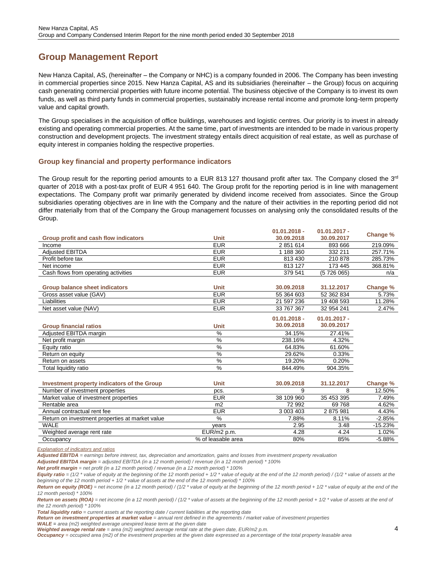## <span id="page-3-0"></span>**Group Management Report**

New Hanza Capital, AS, (hereinafter – the Company or NHC) is a company founded in 2006. The Company has been investing in commercial properties since 2015. New Hanza Capital, AS and its subsidiaries (hereinafter – the Group) focus on acquiring cash generating commercial properties with future income potential. The business objective of the Company is to invest its own funds, as well as third party funds in commercial properties, sustainably increase rental income and promote long-term property value and capital growth.

The Group specialises in the acquisition of office buildings, warehouses and logistic centres. Our priority is to invest in already existing and operating commercial properties. At the same time, part of investments are intended to be made in various property construction and development projects. The investment strategy entails direct acquisition of real estate, as well as purchase of equity interest in companies holding the respective properties.

## <span id="page-3-1"></span>**Group key financial and property performance indicators**

The Group result for the reporting period amounts to a EUR 813 127 thousand profit after tax. The Company closed the  $3^{rd}$ quarter of 2018 with a post-tax profit of EUR 4 951 640. The Group profit for the reporting period is in line with management expectations. The Company profit war primarily generated by dividend income received from associates. Since the Group subsidiaries operating objectives are in line with the Company and the nature of their activities in the reporting period did not differ materially from that of the Company the Group management focusses on analysing only the consolidated results of the Group.

**01.01.2018 -**

**01.01.2017 -**

|                                                 |                 | $01.01.2018 -$ | $01.01.2017 -$ |          |
|-------------------------------------------------|-----------------|----------------|----------------|----------|
| Group profit and cash flow indicators           | <b>Unit</b>     | 30.09.2018     | 30.09.2017     | Change % |
| Income                                          | <b>EUR</b>      | 2851614        | 893 666        | 219.09%  |
| <b>Adjusted EBITDA</b>                          | <b>EUR</b>      | 1 188 360      | 332 211        | 257.71%  |
| Profit before tax                               | <b>EUR</b>      | 813 430        | 210878         | 285.73%  |
| Net income                                      | <b>EUR</b>      | 813 127        | 173 445        | 368.81%  |
| Cash flows from operating activities            | <b>EUR</b>      | 379 541        | (5 726 065)    | n/a      |
|                                                 |                 |                |                |          |
| <b>Group balance sheet indicators</b>           | <b>Unit</b>     | 30.09.2018     | 31.12.2017     | Change % |
| Gross asset value (GAV)                         | <b>EUR</b>      | 55 364 603     | 52 362 834     | 5.73%    |
| Liabilities                                     | <b>EUR</b>      | 21 597 236     | 19 408 593     | 11.28%   |
| Net asset value (NAV)                           | <b>EUR</b>      | 33 767 367     | 32 954 241     | 2.47%    |
|                                                 |                 | $01.01.2018 -$ | $01.01.2017 -$ |          |
|                                                 | <b>Unit</b>     | 30.09.2018     | 30.09.2017     |          |
| <b>Group financial ratios</b>                   | %               |                |                |          |
| Adjusted EBITDA margin                          |                 | 34.15%         | 27.41%         |          |
| Net profit margin                               | $\overline{\%}$ | 238.16%        | 4.32%          |          |
| Equity ratio                                    | $\frac{0}{2}$   | 64.83%         | 61.60%         |          |
| Return on equity                                | %               | 29.62%         | 0.33%          |          |
| Return on assets                                | %               | 19.20%         | 0.20%          |          |
| Total liquidity ratio                           | %               | 844.49%        | 904.35%        |          |
|                                                 |                 |                |                |          |
| Investment property indicators of the Group     | <b>Unit</b>     | 30.09.2018     | 31.12.2017     | Change % |
| Number of investment properties                 | pcs.            | 9              | 8              | 12.50%   |
| Market value of investment properties           | <b>EUR</b>      | 38 109 960     | 35 453 395     | 7.49%    |
| Rentable area                                   | m <sub>2</sub>  | 72 992         | 69768          | 4.62%    |
| Annual contractual rent fee                     | <b>EUR</b>      | 3 003 403      | 2875981        | 4.43%    |
| Return on investment properties at market value | %               | 7.88%          | 8.11%          | $-2.85%$ |

*Explanation of indicators and ratios*

*Adjusted EBITDA = earnings before interest, tax, depreciation and amortization, gains and losses from investment property revaluation*

*Adjusted EBITDA margin = adjusted EBITDA (in a 12 month period) / revenue (in a 12 month period) \* 100%*

*Net profit margin = net profit (in a 12 month period) / revenue (in a 12 month period) \* 100%*

WALE years 2.95 3.48 -15.23% Weighted average rent rate  $EUR/m2 p.m.$   $4.28$   $4.24$   $4.02\%$ Occupancy and the contract of the state of leasable area and the state of the state of the state of the state of the state of the state of the state of the state of the state of the state of the state of the state of the s

*Return on equity (ROE) = net income (in a 12 month period) / (1/2 \* value of equity at the beginning of the 12 month period + 1/2 \* value of equity at the end of the 12 month period) \* 100%*

*Return on assets (ROA) = net income (in a 12 month period) / (1/2 \* value of assets at the beginning of the 12 month period + 1/2 \* value of assets at the end of the 12 month period) \* 100%*

*Total liquidity ratio = current assets at the reporting date / current liabilities at the reporting date*

Return on investment properties at market value = annual rent defined in the agreements / market value of investment properties

*WALE = area (m2) weighted average unexpired lease term at the given date*

*Weighted average rental rate = area (m2) weighted average rental rate at the given date, EUR/m2 p.m.* 

*Occupancy* = *occupied area (m2)* of the investment properties at the given date expressed as a percentage of the total property leasable area

*Equity ratio = (1/2 \* value of equity at the beginning of the 12 month period + 1/2 \* value of equity at the end of the 12 month period) / (1/2 \* value of assets at the beginning of the 12 month period + 1/2 \* value of assets at the end of the 12 month period) \* 100%*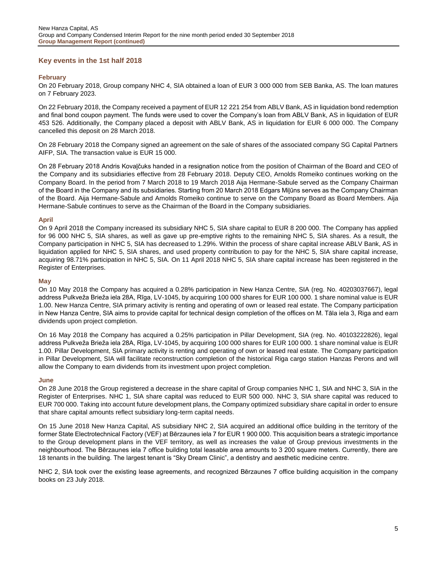## <span id="page-4-0"></span>**Key events in the 1st half 2018**

#### **February**

On 20 February 2018, Group company NHC 4, SIA obtained a loan of EUR 3 000 000 from SEB Banka, AS. The loan matures on 7 February 2023.

On 22 February 2018, the Company received a payment of EUR 12 221 254 from ABLV Bank, AS in liquidation bond redemption and final bond coupon payment. The funds were used to cover the Company's loan from ABLV Bank, AS in liquidation of EUR 453 526. Additionally, the Company placed a deposit with ABLV Bank, AS in liquidation for EUR 6 000 000. The Company cancelled this deposit on 28 March 2018.

On 28 February 2018 the Company signed an agreement on the sale of shares of the associated company SG Capital Partners AIFP, SIA. The transaction value is EUR 15 000.

On 28 February 2018 Andris Kovaļčuks handed in a resignation notice from the position of Chairman of the Board and CEO of the Company and its subsidiaries effective from 28 February 2018. Deputy CEO, Arnolds Romeiko continues working on the Company Board. In the period from 7 March 2018 to 19 March 2018 Aija Hermane-Sabule served as the Company Chairman of the Board in the Company and its subsidiaries. Starting from 20 March 2018 Edgars Miļūns serves as the Company Chairman of the Board. Aija Hermane-Sabule and Arnolds Romeiko continue to serve on the Company Board as Board Members. Aija Hermane-Sabule continues to serve as the Chairman of the Board in the Company subsidiaries.

#### **April**

On 9 April 2018 the Company increased its subsidiary NHC 5, SIA share capital to EUR 8 200 000. The Company has applied for 96 000 NHC 5, SIA shares, as well as gave up pre-emptive rights to the remaining NHC 5, SIA shares. As a result, the Company participation in NHC 5, SIA has decreased to 1.29%. Within the process of share capital increase ABLV Bank, AS in liquidation applied for NHC 5, SIA shares, and used property contribution to pay for the NHC 5, SIA share capital increase, acquiring 98.71% participation in NHC 5, SIA. On 11 April 2018 NHC 5, SIA share capital increase has been registered in the Register of Enterprises.

#### **May**

On 10 May 2018 the Company has acquired a 0.28% participation in New Hanza Centre, SIA (reg. No. 40203037667), legal address Pulkveža Brieža iela 28A, Rīga, LV-1045, by acquiring 100 000 shares for EUR 100 000. 1 share nominal value is EUR 1.00. New Hanza Centre, SIA primary activity is renting and operating of own or leased real estate. The Company participation in New Hanza Centre, SIA aims to provide capital for technical design completion of the offices on M. Tāla iela 3, Riga and earn dividends upon project completion.

On 16 May 2018 the Company has acquired a 0.25% participation in Pillar Development, SIA (reg. No. 40103222826), legal address Pulkveža Brieža iela 28A, Rīga, LV-1045, by acquiring 100 000 shares for EUR 100 000. 1 share nominal value is EUR 1.00. Pillar Development, SIA primary activity is renting and operating of own or leased real estate. The Company participation in Pillar Development, SIA will facilitate reconstruction completion of the historical Riga cargo station Hanzas Perons and will allow the Company to earn dividends from its investment upon project completion.

#### **June**

On 28 June 2018 the Group registered a decrease in the share capital of Group companies NHC 1, SIA and NHC 3, SIA in the Register of Enterprises. NHC 1, SIA share capital was reduced to EUR 500 000. NHC 3, SIA share capital was reduced to EUR 700 000. Taking into account future development plans, the Company optimized subsidiary share capital in order to ensure that share capital amounts reflect subsidiary long-term capital needs.

On 15 June 2018 New Hanza Capital, AS subsidiary NHC 2, SIA acquired an additional office building in the territory of the former State Electrotechnical Factory (VEF) at Bērzaunes iela 7 for EUR 1 900 000. This acquisition bears a strategic importance to the Group development plans in the VEF territory, as well as increases the value of Group previous investments in the neighbourhood. The Bērzaunes iela 7 office building total leasable area amounts to 3 200 square meters. Currently, there are 18 tenants in the building. The largest tenant is "Sky Dream Clinic", a dentistry and aesthetic medicine centre.

NHC 2, SIA took over the existing lease agreements, and recognized Bērzaunes 7 office building acquisition in the company books on 23 July 2018.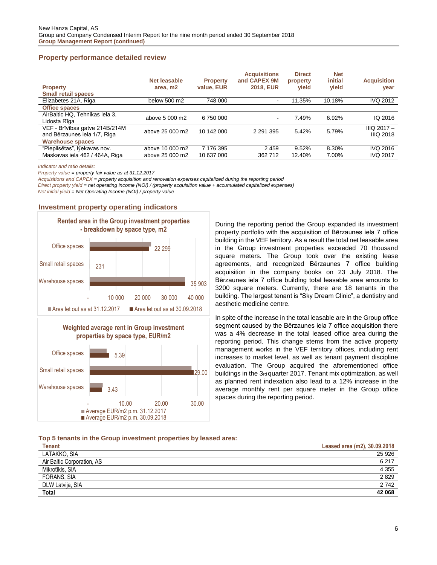## <span id="page-5-0"></span>**Property performance detailed review**

| <b>Property</b><br><b>Small retail spaces</b>                  | Net leasable<br>area, m2 | <b>Property</b><br>value, EUR | <b>Acquisitions</b><br>and CAPEX 9M<br><b>2018, EUR</b> | <b>Direct</b><br>property<br>yield | <b>Net</b><br>initial<br>vield | <b>Acquisition</b><br>year          |
|----------------------------------------------------------------|--------------------------|-------------------------------|---------------------------------------------------------|------------------------------------|--------------------------------|-------------------------------------|
| Elizabetes 21A, Riga                                           | below 500 m2             | 748 000                       | $\overline{\phantom{a}}$                                | 11.35%                             | 10.18%                         | <b>IVQ 2012</b>                     |
| <b>Office spaces</b>                                           |                          |                               |                                                         |                                    |                                |                                     |
| AirBaltic HQ. Tehnikas iela 3.<br>Lidosta Rīga                 | above 5 000 m2           | 6750000                       | $\,$ $\,$                                               | 7.49%                              | 6.92%                          | IQ 2016                             |
| VEF - Brīvības gatve 214B/214M<br>and Bērzaunes iela 1/7, Riga | above 25 000 m2          | 10 142 000                    | 2 2 9 1 3 9 5                                           | 5.42%                              | 5.79%                          | $IIIQ$ 2017 $-$<br><b>IIIQ 2018</b> |
| <b>Warehouse spaces</b>                                        |                          |                               |                                                         |                                    |                                |                                     |
| "Piepilsētas", Kekavas nov.                                    | above 10 000 m2          | 7 176 395                     | 2459                                                    | 9.52%                              | 8.30%                          | <b>IVQ 2016</b>                     |
| Maskavas iela 462 / 464A, Riga                                 | above 25 000 m2          | 10 637 000                    | 362712                                                  | 12.40%                             | 7.00%                          | <b>IVQ 2017</b>                     |

<span id="page-5-1"></span>*Indicator and ratio details:*

*Property value = property fair value as at 31.12.2017*

*Acquisitions and CAPEX = property acquisition and renovation expenses capitalized during the reporting period*

*Direct property yield = net operating income (NOI) / (property acquisition value + accumulated capitalized expenses)*

*Net initial yield = Net Operating Income (NOI) / property value*

## **Investment property operating indicators**





During the reporting period the Group expanded its investment property portfolio with the acquisition of Bērzaunes iela 7 office building in the VEF territory. As a result the total net leasable area in the Group investment properties exceeded 70 thousand square meters. The Group took over the existing lease agreements, and recognized Bērzaunes 7 office building acquisition in the company books on 23 July 2018. The Bērzaunes iela 7 office building total leasable area amounts to 3200 square meters. Currently, there are 18 tenants in the building. The largest tenant is "Sky Dream Clinic", a dentistry and aesthetic medicine centre.

In spite of the increase in the total leasable are in the Group office segment caused by the Bērzaunes iela 7 office acquisition there was a 4% decrease in the total leased office area during the reporting period. This change stems from the active property management works in the VEF territory offices, including rent increases to market level, as well as tenant payment discipline evaluation. The Group acquired the aforementioned office buildings in the 3rd quarter 2017. Tenant mix optimization, as well as planned rent indexation also lead to a 12% increase in the average monthly rent per square meter in the Group office spaces during the reporting period.

#### **Top 5 tenants in the Group investment properties by leased area:**

| <b>Tenant</b>              | Leased area (m2), 30.09.2018 |
|----------------------------|------------------------------|
| LATAKKO, SIA               | 25 9 26                      |
| Air Baltic Corporation, AS | 6 2 1 7                      |
| Mikrotīkls, SIA            | 4 3 5 5                      |
| FORANS, SIA                | 2829                         |
| DLW Latvija, SIA           | 2742                         |
| <b>Total</b>               | 42 068                       |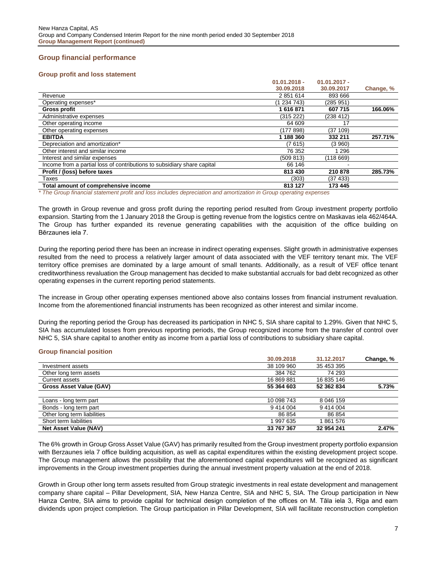## <span id="page-6-0"></span>**Group financial performance**

#### **Group profit and loss statement**

|                                                                         | $01.01.2018 -$ | $01.01.2017 -$ |           |
|-------------------------------------------------------------------------|----------------|----------------|-----------|
|                                                                         | 30.09.2018     | 30.09.2017     | Change, % |
| Revenue                                                                 | 2851614        | 893 666        |           |
| Operating expenses*                                                     | (1 234 743)    | (285 951)      |           |
| Gross profit                                                            | 1616871        | 607 715        | 166.06%   |
| Administrative expenses                                                 | (315 222)      | (238 412)      |           |
| Other operating income                                                  | 64 609         | 17             |           |
| Other operating expenses                                                | (177 898)      | (37109)        |           |
| <b>EBITDA</b>                                                           | 1 188 360      | 332 211        | 257.71%   |
| Depreciation and amortization*                                          | (7 615)        | (3960)         |           |
| Other interest and similar income                                       | 76 352         | 1 2 9 6        |           |
| Interest and similar expenses                                           | (509 813)      | (118 669)      |           |
| Income from a partial loss of contributions to subsidiary share capital | 66 146         |                |           |
| Profit / (loss) before taxes                                            | 813 430        | 210878         | 285.73%   |
| Taxes                                                                   | (303)          | (37 433)       |           |
| Total amount of comprehensive income                                    | 813 127        | 173 445        |           |

*\* The Group financial statement profit and loss includes depreciation and amortization in Group operating expenses* 

The growth in Group revenue and gross profit during the reporting period resulted from Group investment property portfolio expansion. Starting from the 1 January 2018 the Group is getting revenue from the logistics centre on Maskavas iela 462/464A. The Group has further expanded its revenue generating capabilities with the acquisition of the office building on Bērzaunes iela 7.

During the reporting period there has been an increase in indirect operating expenses. Slight growth in administrative expenses resulted from the need to process a relatively larger amount of data associated with the VEF territory tenant mix. The VEF territory office premises are dominated by a large amount of small tenants. Additionally, as a result of VEF office tenant creditworthiness revaluation the Group management has decided to make substantial accruals for bad debt recognized as other operating expenses in the current reporting period statements.

The increase in Group other operating expenses mentioned above also contains losses from financial instrument revaluation. Income from the aforementioned financial instruments has been recognized as other interest and similar income.

During the reporting period the Group has decreased its participation in NHC 5, SIA share capital to 1.29%. Given that NHC 5, SIA has accumulated losses from previous reporting periods, the Group recognized income from the transfer of control over NHC 5, SIA share capital to another entity as income from a partial loss of contributions to subsidiary share capital.

#### **Group financial position**

|                                | 30.09.2018 | 31.12.2017 | Change, % |
|--------------------------------|------------|------------|-----------|
| Investment assets              | 38 109 960 | 35 453 395 |           |
| Other long term assets         | 384 762    | 74 293     |           |
| Current assets                 | 16 869 881 | 16 835 146 |           |
| <b>Gross Asset Value (GAV)</b> | 55 364 603 | 52 362 834 | 5.73%     |
|                                |            |            |           |
| Loans - long term part         | 10 098 743 | 8 046 159  |           |
| Bonds - long term part         | 9414004    | 9 414 004  |           |
| Other long term liabilities    | 86 854     | 86 854     |           |
| Short term liabilities         | 997 635    | 861 576    |           |
| <b>Net Asset Value (NAV)</b>   | 33 767 367 | 32 954 241 | 2.47%     |

The 6% growth in Group Gross Asset Value (GAV) has primarily resulted from the Group investment property portfolio expansion with Berzaunes iela 7 office building acquisition, as well as capital expenditures within the existing development project scope. The Group management allows the possibility that the aforementioned capital expenditures will be recognized as significant improvements in the Group investment properties during the annual investment property valuation at the end of 2018.

Growth in Group other long term assets resulted from Group strategic investments in real estate development and management company share capital – Pillar Development, SIA, New Hanza Centre, SIA and NHC 5, SIA. The Group participation in New Hanza Centre, SIA aims to provide capital for technical design completion of the offices on M. Tāla iela 3, Riga and earn dividends upon project completion. The Group participation in Pillar Development, SIA will facilitate reconstruction completion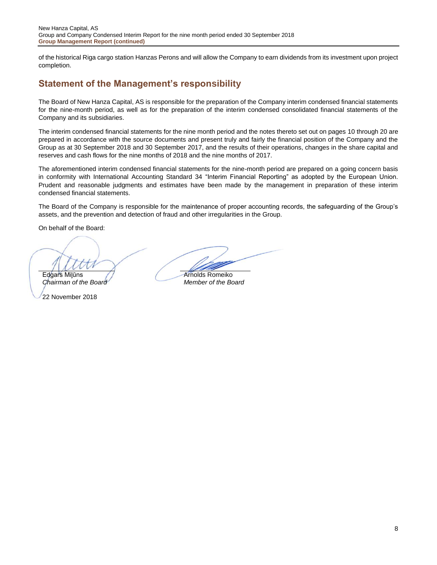of the historical Riga cargo station Hanzas Perons and will allow the Company to earn dividends from its investment upon project completion.

## <span id="page-7-0"></span>**Statement of the Management's responsibility**

The Board of New Hanza Capital, AS is responsible for the preparation of the Company interim condensed financial statements for the nine-month period, as well as for the preparation of the interim condensed consolidated financial statements of the Company and its subsidiaries.

The interim condensed financial statements for the nine month period and the notes thereto set out on pages 10 through 20 are prepared in accordance with the source documents and present truly and fairly the financial position of the Company and the Group as at 30 September 2018 and 30 September 2017, and the results of their operations, changes in the share capital and reserves and cash flows for the nine months of 2018 and the nine months of 2017.

The aforementioned interim condensed financial statements for the nine-month period are prepared on a going concern basis in conformity with International Accounting Standard 34 "Interim Financial Reporting" as adopted by the European Union. Prudent and reasonable judgments and estimates have been made by the management in preparation of these interim condensed financial statements.

The Board of the Company is responsible for the maintenance of proper accounting records, the safeguarding of the Group's assets, and the prevention and detection of fraud and other irregularities in the Group.

On behalf of the Board:

Edgars Milūns // Arnolds Romeiko

*Chairman of the Board Member of the Board*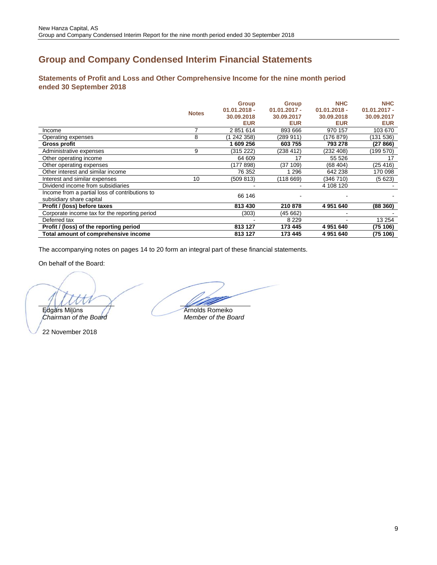## <span id="page-8-0"></span>**Group and Company Condensed Interim Financial Statements**

<span id="page-8-1"></span>**Statements of Profit and Loss and Other Comprehensive Income for the nine month period ended 30 September 2018**

|                                                |                              | <b>Group</b>   | <b>Group</b>   | <b>NHC</b>     | <b>NHC</b>     |
|------------------------------------------------|------------------------------|----------------|----------------|----------------|----------------|
|                                                | <b>Notes</b><br>8<br>9<br>10 | $01.01.2018 -$ | $01.01.2017 -$ | $01.01.2018 -$ | $01.01.2017 -$ |
|                                                |                              | 30.09.2018     | 30.09.2017     | 30.09.2018     | 30.09.2017     |
|                                                |                              | <b>EUR</b>     | <b>EUR</b>     | <b>EUR</b>     | <b>EUR</b>     |
| Income                                         |                              | 2851614        | 893 666        | 970 157        | 103 670        |
| Operating expenses                             |                              | (1 242 358)    | (289 911)      | (176 879)      | (131 536)      |
| Gross profit                                   |                              | 609 256        | 603 755        | 793 278        | (27 866)       |
| Administrative expenses                        |                              | (315 222)      | (238 412)      | (232 408)      | (199 570)      |
| Other operating income                         |                              | 64 609         | 17             | 55 526         | 17             |
| Other operating expenses                       |                              | (177 898)      | (37 109)       | (68404)        | (25 416)       |
| Other interest and similar income              |                              | 76 352         | 1 2 9 6        | 642 238        | 170 098        |
| Interest and similar expenses                  |                              | (509 813)      | (118 669)      | (346 710)      | (5623)         |
| Dividend income from subsidiaries              |                              |                |                | 4 108 120      |                |
| Income from a partial loss of contributions to |                              | 66 146         |                |                |                |
| subsidiary share capital                       |                              |                |                |                |                |
| Profit / (loss) before taxes                   |                              | 813 430        | 210878         | 4 951 640      | (88360)        |
| Corporate income tax for the reporting period  |                              | (303)          | (45 662)       |                |                |
| Deferred tax                                   |                              |                | 8 2 2 9        |                | 13 254         |
| Profit / (loss) of the reporting period        |                              | 813 127        | 173 445        | 4 951 640      | (75 106)       |
| Total amount of comprehensive income           |                              | 813 127        | 173 445        | 4 951 640      | (75 106)       |

The accompanying notes on pages 14 to 20 form an integral part of these financial statements.

On behalf of the Board:

Edgars Milūns **Arnolds Romeiko**<br>Chairman of the Board **Arnolds** Member of the Board

*Chairman of the Board Member of the Board*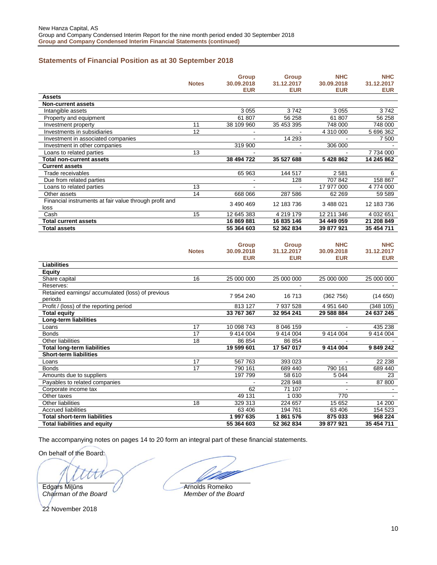## <span id="page-9-0"></span>**Statements of Financial Position as at 30 September 2018**

|                                                        |                 | <b>Group</b>   | <b>Group</b> | <b>NHC</b> | <b>NHC</b> |
|--------------------------------------------------------|-----------------|----------------|--------------|------------|------------|
|                                                        | <b>Notes</b>    | 30.09.2018     | 31.12.2017   | 30.09.2018 | 31.12.2017 |
|                                                        |                 | <b>EUR</b>     | <b>EUR</b>   | <b>EUR</b> | <b>EUR</b> |
| <b>Assets</b>                                          |                 |                |              |            |            |
| <b>Non-current assets</b>                              |                 |                |              |            |            |
| Intangible assets                                      |                 | 3055           | 3742         | 3055       | 3742       |
| Property and equipment                                 |                 | 61807          | 56 258       | 61 807     | 56 258     |
| Investment property                                    | 11              | 38 109 960     | 35 453 395   | 748 000    | 748 000    |
| Investments in subsidiaries                            | 12              |                |              | 4 310 000  | 5 696 362  |
| Investment in associated companies                     |                 | $\overline{a}$ | 14 293       | $\omega$   | 7 500      |
| Investment in other companies                          |                 | 319 900        |              | 306 000    |            |
| Loans to related parties                               | 13              |                |              |            | 7734000    |
| <b>Total non-current assets</b>                        |                 | 38 494 722     | 35 527 688   | 5428862    | 14 245 862 |
| <b>Current assets</b>                                  |                 |                |              |            |            |
| Trade receivables                                      |                 | 65 963         | 144 517      | 2581       | 6          |
| Due from related parties                               |                 | $\blacksquare$ | 128          | 707 842    | 158 867    |
| Loans to related parties                               | 13              |                |              | 17 977 000 | 4774000    |
| Other assets                                           | 14              | 668 066        | 287 586      | 62 269     | 59 589     |
| Financial instruments at fair value through profit and |                 | 3 490 469      | 12 183 736   | 3 488 021  | 12 183 736 |
| loss                                                   |                 |                |              |            |            |
| Cash                                                   | 15              | 12 645 383     | 4 219 179    | 12 211 346 | 4 032 651  |
| <b>Total current assets</b>                            |                 | 16 869 881     | 16 835 146   | 34 449 059 | 21 208 849 |
| <b>Total assets</b>                                    |                 | 55 364 603     | 52 362 834   | 39 877 921 | 35 454 711 |
|                                                        |                 |                |              |            |            |
|                                                        |                 | <b>Group</b>   | <b>Group</b> | <b>NHC</b> | <b>NHC</b> |
|                                                        | <b>Notes</b>    | 30.09.2018     | 31.12.2017   | 30.09.2018 | 31.12.2017 |
|                                                        |                 | <b>EUR</b>     | <b>EUR</b>   | <b>EUR</b> | <b>EUR</b> |
| <b>Liabilities</b>                                     |                 |                |              |            |            |
| <b>Equity</b>                                          |                 |                |              |            |            |
| Share capital                                          | 16              | 25 000 000     | 25 000 000   | 25 000 000 | 25 000 000 |
| Reserves:                                              |                 |                | $\sim$       |            |            |
| Retained earnings/ accumulated (loss) of previous      |                 |                |              |            |            |
| periods                                                |                 | 7 954 240      | 16713        | (362 756)  | (14650)    |
| Profit / (loss) of the reporting period                |                 | 813 127        | 7 937 528    | 4 951 640  | (348105)   |
| <b>Total equity</b>                                    |                 | 33 767 367     | 32 954 241   | 29 588 884 | 24 637 245 |
| Long-term liabilities                                  |                 |                |              |            |            |
| Loans                                                  | 17              | 10 098 743     | 8 046 159    |            | 435 238    |
| <b>Bonds</b>                                           | 17              | 9 414 004      | 9 414 004    | 9 414 004  | 9 414 004  |
| <b>Other liabilities</b>                               | 18              | 86 854         | 86 854       |            |            |
| <b>Total long-term liabilities</b>                     |                 | 19 599 601     | 17 547 017   | 9 414 004  | 9849242    |
| <b>Short-term liabilities</b>                          |                 |                |              |            |            |
| Loans                                                  | 17              | 567 763        | 393 023      | ÷.         | 22 238     |
| <b>Bonds</b>                                           | $\overline{17}$ | 790 161        | 689 440      | 790 161    | 689 440    |
| Amounts due to suppliers                               |                 | 197 799        | 58 610       | 5 0 4 4    | 23         |
| Payables to related companies                          |                 |                | 228 948      |            | 87 800     |
| Corporate income tax                                   |                 | 62             | 71 107       |            |            |
| Other taxes                                            |                 | 49 131         | 1 0 3 0      | 770        |            |
| Other liabilities                                      | 18              | 329 313        | 224 657      | 15 652     | 14 200     |
| <b>Accrued liabilities</b>                             |                 | 63 406         | 194 761      | 63 406     | 154 523    |
| <b>Total short-term liabilities</b>                    |                 | 1 997 635      | 1861576      | 875 033    | 968 224    |

The accompanying notes on pages 14 to 20 form an integral part of these financial statements.

On behalf of the Board:

t

Edgars Milūns **Arnolds Romeiko**<br>Chairman of the Board **Arnolds Romeiko**<br>Member of the Board *Chairman of the Board Member of the Board*

22 November 2018

**Total liabilities and equity 55 364 603 52 362 834 39 877 921 35 454 711**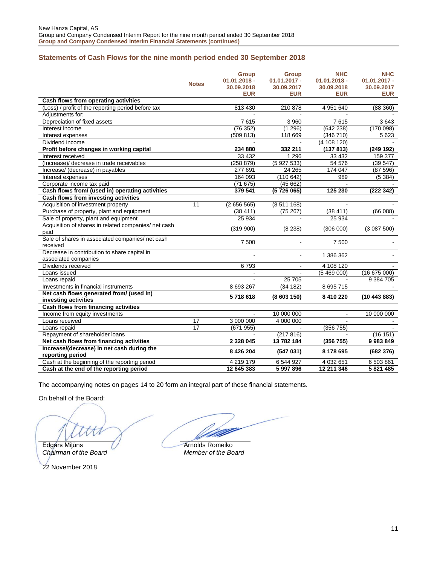## <span id="page-10-0"></span>**Statements of Cash Flows for the nine month period ended 30 September 2018**

|                                                      |              | <b>Group</b>   | <b>Group</b>      | <b>NHC</b>     | <b>NHC</b>     |
|------------------------------------------------------|--------------|----------------|-------------------|----------------|----------------|
|                                                      |              | $01.01.2018 -$ | $01.01.2017 -$    | $01.01.2018 -$ | $01.01.2017 -$ |
|                                                      | <b>Notes</b> | 30.09.2018     | 30.09.2017        | 30.09.2018     | 30.09.2017     |
|                                                      |              | <b>EUR</b>     | <b>EUR</b>        | <b>EUR</b>     | <b>EUR</b>     |
| Cash flows from operating activities                 |              |                |                   |                |                |
| (Loss) / profit of the reporting period before tax   |              | 813 430        | 210 878           | 4 951 640      | (88360)        |
| Adiustments for:                                     |              |                |                   |                |                |
| Depreciation of fixed assets                         |              | 7615           | 3 9 6 0           | 7615           | 3643           |
| Interest income                                      |              | (76352)        | (1296)            | (642 238)      | (170098)       |
| Interest expenses                                    |              | (509 813)      | 118 669           | (346710)       | 5 6 23         |
| Dividend income                                      |              |                |                   | (4 108 120)    |                |
| Profit before changes in working capital             |              | 234 880        | 332 211           | (137813)       | (249 192)      |
| Interest received                                    |              | 33 4 32        | 1 2 9 6           | 33 4 32        | 159 377        |
| (Increase)/ decrease in trade receivables            |              | (258 879)      | (5927533)         | 54 576         | (39547)        |
| Increase/ (decrease) in payables                     |              | 277 691        | 24 265            | 174 047        | (87596)        |
| Interest expenses                                    |              | 164 093        | (110642)          | 989            | (5384)         |
| Corporate income tax paid                            |              | (71675)        | (45662)           |                |                |
| Cash flows from/ (used in) operating activities      |              | 379 541        | (5726065)         | 125 230        | (222342)       |
| Cash flows from investing activities                 |              |                |                   |                |                |
| Acquisition of investment property                   | 11           | (2656565)      | (8511168)         | $\mathbf{r}$   |                |
| Purchase of property, plant and equipment            |              | (38411)        | (75267)           | (38411)        | (66088)        |
| Sale of property, plant and equipment                |              | 25 9 34        |                   | 25 9 34        |                |
| Acquisition of shares in related companies/ net cash |              | (319 900)      | (8 238)           | (306 000)      | (3087500)      |
| paid                                                 |              |                |                   |                |                |
| Sale of shares in associated companies/ net cash     |              | 7500           | $\blacksquare$    | 7500           |                |
| received                                             |              |                |                   |                |                |
| Decrease in contribution to share capital in         |              |                | $\blacksquare$    | 1 386 362      |                |
| associated companies                                 |              |                |                   |                |                |
| Dividends received                                   |              | 6793           | $\blacksquare$    | 4 108 120      |                |
| Loans issued                                         |              |                |                   | (5469000)      | (16675000)     |
| Loans repaid<br>Investments in financial instruments |              | 8 693 267      | 25 705<br>(34182) | 8 695 715      | 9 384 705      |
| Net cash flows generated from/ (used in)             |              |                |                   |                |                |
| investing activities                                 |              | 5718618        | (8603150)         | 8 410 220      | (10443883)     |
| Cash flows from financing activities                 |              |                |                   |                |                |
| Income from equity investments                       |              |                | 10 000 000        |                | 10 000 000     |
| Loans received                                       | 17           | 3 000 000      | 4 000 000         |                |                |
| Loans repaid                                         | 17           | (671955)       |                   | (356 755)      |                |
| Repayment of shareholder loans                       |              |                | (217816)          |                | (16 151)       |
| Net cash flows from financing activities             |              | 2 3 2 8 0 4 5  | 13 782 184        | (356 755)      | 9 983 849      |
| Increase/(decrease) in net cash during the           |              |                |                   |                |                |
| reporting period                                     |              | 8 4 2 6 2 0 4  | (547031)          | 8 178 695      | (682376)       |
| Cash at the beginning of the reporting period        |              | 4 219 179      | 6 544 927         | 4 0 3 2 6 5 1  | 6 503 861      |
| Cash at the end of the reporting period              |              | 12 645 383     | 5 997 896         | 12 211 346     | 5 821 485      |

The accompanying notes on pages 14 to 20 form an integral part of these financial statements.

On behalf of the Board:

*Chairman of the Board Member of the Board*

Edgars Milūns **Arnolds Romeiko**<br>Chairman of the Board **Arnolds** Romeiko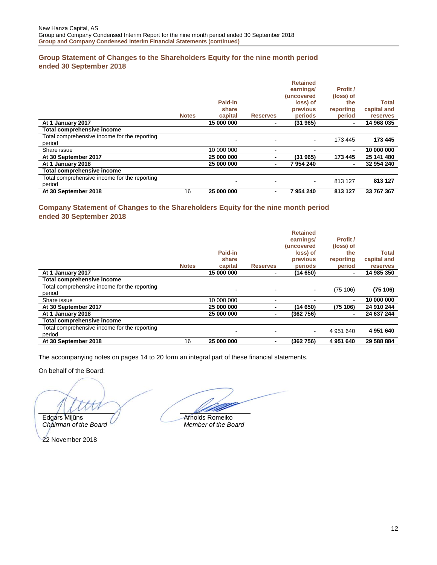## <span id="page-11-0"></span>**Group Statement of Changes to the Shareholders Equity for the nine month period ended 30 September 2018**

|                                                        | <b>Notes</b> | Paid-in<br>share<br>capital | <b>Reserves</b>          | <b>Retained</b><br>earnings/<br><i>(uncovered)</i><br>loss) of<br>previous<br>periods | Profit /<br>(loss) of<br>the<br>reporting<br>period | <b>Total</b><br>capital and<br>reserves |
|--------------------------------------------------------|--------------|-----------------------------|--------------------------|---------------------------------------------------------------------------------------|-----------------------------------------------------|-----------------------------------------|
| At 1 January 2017                                      |              | 15 000 000                  | $\blacksquare$           | (31965)                                                                               | ٠                                                   | 14 968 035                              |
| Total comprehensive income                             |              |                             |                          |                                                                                       |                                                     |                                         |
| Total comprehensive income for the reporting<br>period |              |                             |                          | $\sim$                                                                                | 173 445                                             | 173 445                                 |
| Share issue                                            |              | 10 000 000                  |                          |                                                                                       | $\blacksquare$                                      | 10 000 000                              |
| At 30 September 2017                                   |              | 25 000 000                  | ٠                        | (31965)                                                                               | 173 445                                             | 25 141 480                              |
| At 1 January 2018                                      |              | 25 000 000                  |                          | 7954240                                                                               | $\blacksquare$                                      | 32 954 240                              |
| Total comprehensive income                             |              |                             |                          |                                                                                       |                                                     |                                         |
| Total comprehensive income for the reporting<br>period |              |                             | $\overline{\phantom{a}}$ | $\blacksquare$                                                                        | 813 127                                             | 813 127                                 |
| At 30 September 2018                                   | 16           | 25 000 000                  | $\blacksquare$           | 7954240                                                                               | 813 127                                             | 33 767 367                              |

## <span id="page-11-1"></span>**Company Statement of Changes to the Shareholders Equity for the nine month period ended 30 September 2018**

|                                                        | <b>Notes</b> | Paid-in<br>share<br>capital | <b>Reserves</b> | <b>Retained</b><br>earnings/<br>(uncovered<br>loss) of<br>previous<br>periods | Profit /<br>(loss) of<br>the<br>reporting<br>period | Total<br>capital and<br>reserves |
|--------------------------------------------------------|--------------|-----------------------------|-----------------|-------------------------------------------------------------------------------|-----------------------------------------------------|----------------------------------|
| At 1 January 2017                                      |              | 15 000 000                  | ۰               | (14 650)                                                                      | $\blacksquare$                                      | 14 985 350                       |
| Total comprehensive income                             |              |                             |                 |                                                                               |                                                     |                                  |
| Total comprehensive income for the reporting<br>period |              | $\overline{\phantom{a}}$    | ۰               | $\blacksquare$                                                                | (75106)                                             | (75106)                          |
| Share issue                                            |              | 10 000 000                  | ۰               |                                                                               | ۰                                                   | 10 000 000                       |
| At 30 September 2017                                   |              | 25 000 000                  | ۰               | (14 650)                                                                      | (75 106)                                            | 24 910 244                       |
| At 1 January 2018                                      |              | 25 000 000                  | ۰               | (362 756)                                                                     | ٠                                                   | 24 637 244                       |
| Total comprehensive income                             |              |                             |                 |                                                                               |                                                     |                                  |
| Total comprehensive income for the reporting<br>period |              | ۰                           | ٠               | $\blacksquare$                                                                | 4 951 640                                           | 4 951 640                        |
| At 30 September 2018                                   | 16           | 25 000 000                  | $\blacksquare$  | (362 756)                                                                     | 4 951 640                                           | 29 588 884                       |

The accompanying notes on pages 14 to 20 form an integral part of these financial statements.

On behalf of the Board:

*Chairman of the Board Member of the Board*

Edgars Milūns **Arnolds Romeiko**<br>Chairman of the Board **Arnolds** Member of the Board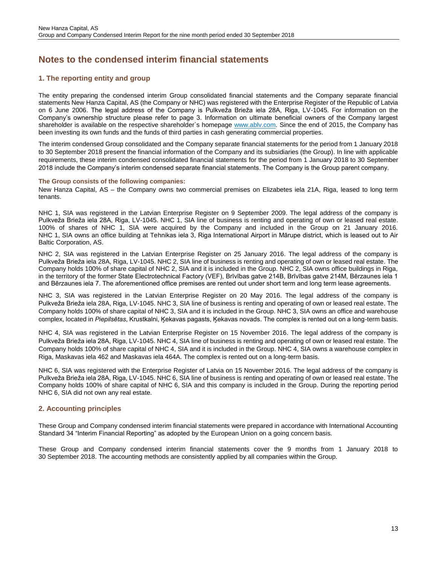## <span id="page-12-0"></span>**Notes to the condensed interim financial statements**

## <span id="page-12-1"></span>**1. The reporting entity and group**

The entity preparing the condensed interim Group consolidated financial statements and the Company separate financial statements New Hanza Capital, AS (the Company or NHC) was registered with the Enterprise Register of the Republic of Latvia on 6 June 2006. The legal address of the Company is Pulkveža Brieža iela 28A, Riga, LV-1045. For information on the Company's ownership structure please refer to page 3. Information on ultimate beneficial owners of the Company largest shareholder is available on the respective shareholder's homepage [www.ablv.com.](https://www.ablv.com/en/about) Since the end of 2015, the Company has been investing its own funds and the funds of third parties in cash generating commercial properties.

The interim condensed Group consolidated and the Company separate financial statements for the period from 1 January 2018 to 30 September 2018 present the financial information of the Company and its subsidiaries (the Group). In line with applicable requirements, these interim condensed consolidated financial statements for the period from 1 January 2018 to 30 September 2018 include the Company's interim condensed separate financial statements. The Company is the Group parent company.

#### **The Group consists of the following companies:**

New Hanza Capital, AS – the Company owns two commercial premises on Elizabetes iela 21A, Riga, leased to long term tenants.

NHC 1, SIA was registered in the Latvian Enterprise Register on 9 September 2009. The legal address of the company is Pulkveža Brieža iela 28A, Riga, LV-1045. NHC 1, SIA line of business is renting and operating of own or leased real estate. 100% of shares of NHC 1, SIA were acquired by the Company and included in the Group on 21 January 2016. NHC 1, SIA owns an office building at Tehnikas iela 3, Riga International Airport in Mārupe district, which is leased out to Air Baltic Corporation, AS.

NHC 2, SIA was registered in the Latvian Enterprise Register on 25 January 2016. The legal address of the company is Pulkveža Brieža iela 28A, Riga, LV-1045. NHC 2, SIA line of business is renting and operating of own or leased real estate. The Company holds 100% of share capital of NHC 2, SIA and it is included in the Group. NHC 2, SIA owns office buildings in Riga, in the territory of the former State Electrotechnical Factory (VEF), Brīvības gatve 214B, Brīvības gatve 214M, Bērzaunes iela 1 and Bērzaunes iela 7. The aforementioned office premises are rented out under short term and long term lease agreements.

NHC 3, SIA was registered in the Latvian Enterprise Register on 20 May 2016. The legal address of the company is Pulkveža Brieža iela 28A, Riga, LV-1045. NHC 3, SIA line of business is renting and operating of own or leased real estate. The Company holds 100% of share capital of NHC 3, SIA and it is included in the Group. NHC 3, SIA owns an office and warehouse complex, located in *Piepilsētas*, Krustkalni, Ķekavas pagasts, Ķekavas novads. The complex is rented out on a long-term basis.

NHC 4, SIA was registered in the Latvian Enterprise Register on 15 November 2016. The legal address of the company is Pulkveža Brieža iela 28A, Riga, LV-1045. NHC 4, SIA line of business is renting and operating of own or leased real estate. The Company holds 100% of share capital of NHC 4, SIA and it is included in the Group. NHC 4, SIA owns a warehouse complex in Riga, Maskavas iela 462 and Maskavas iela 464A. The complex is rented out on a long-term basis.

NHC 6, SIA was registered with the Enterprise Register of Latvia on 15 November 2016. The legal address of the company is Pulkveža Brieža iela 28A, Riga, LV-1045. NHC 6, SIA line of business is renting and operating of own or leased real estate. The Company holds 100% of share capital of NHC 6, SIA and this company is included in the Group. During the reporting period NHC 6, SIA did not own any real estate.

## <span id="page-12-2"></span>**2. Accounting principles**

These Group and Company condensed interim financial statements were prepared in accordance with International Accounting Standard 34 "Interim Financial Reporting" as adopted by the European Union on a going concern basis.

These Group and Company condensed interim financial statements cover the 9 months from 1 January 2018 to 30 September 2018. The accounting methods are consistently applied by all companies within the Group.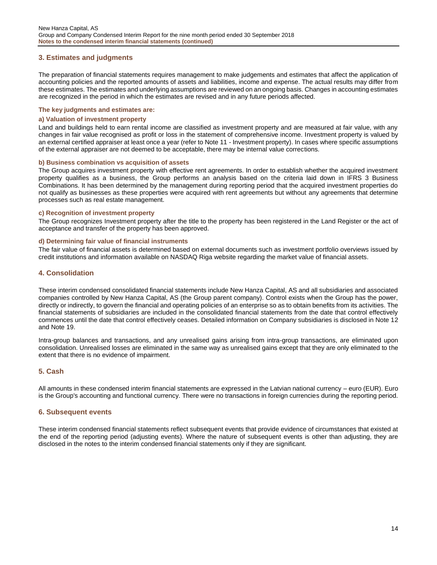## <span id="page-13-0"></span>**3. Estimates and judgments**

The preparation of financial statements requires management to make judgements and estimates that affect the application of accounting policies and the reported amounts of assets and liabilities, income and expense. The actual results may differ from these estimates. The estimates and underlying assumptions are reviewed on an ongoing basis. Changes in accounting estimates are recognized in the period in which the estimates are revised and in any future periods affected.

#### **The key judgments and estimates are:**

#### **a) Valuation of investment property**

Land and buildings held to earn rental income are classified as investment property and are measured at fair value, with any changes in fair value recognised as profit or loss in the statement of comprehensive income. Investment property is valued by an external certified appraiser at least once a year (refer to Note 11 - Investment property). In cases where specific assumptions of the external appraiser are not deemed to be acceptable, there may be internal value corrections.

#### **b) Business combination vs acquisition of assets**

The Group acquires investment property with effective rent agreements. In order to establish whether the acquired investment property qualifies as a business, the Group performs an analysis based on the criteria laid down in IFRS 3 Business Combinations. It has been determined by the management during reporting period that the acquired investment properties do not qualify as businesses as these properties were acquired with rent agreements but without any agreements that determine processes such as real estate management.

#### **c) Recognition of investment property**

The Group recognizes Investment property after the title to the property has been registered in the Land Register or the act of acceptance and transfer of the property has been approved.

#### **d) Determining fair value of financial instruments**

The fair value of financial assets is determined based on external documents such as investment portfolio overviews issued by credit institutions and information available on NASDAQ Riga website regarding the market value of financial assets.

#### <span id="page-13-1"></span>**4. Consolidation**

These interim condensed consolidated financial statements include New Hanza Capital, AS and all subsidiaries and associated companies controlled by New Hanza Capital, AS (the Group parent company). Control exists when the Group has the power, directly or indirectly, to govern the financial and operating policies of an enterprise so as to obtain benefits from its activities. The financial statements of subsidiaries are included in the consolidated financial statements from the date that control effectively commences until the date that control effectively ceases. Detailed information on Company subsidiaries is disclosed in Note 12 and Note 19.

Intra-group balances and transactions, and any unrealised gains arising from intra-group transactions, are eliminated upon consolidation. Unrealised losses are eliminated in the same way as unrealised gains except that they are only eliminated to the extent that there is no evidence of impairment.

## <span id="page-13-2"></span>**5. Cash**

All amounts in these condensed interim financial statements are expressed in the Latvian national currency – euro (EUR). Euro is the Group's accounting and functional currency. There were no transactions in foreign currencies during the reporting period.

#### <span id="page-13-3"></span>**6. Subsequent events**

These interim condensed financial statements reflect subsequent events that provide evidence of circumstances that existed at the end of the reporting period (adjusting events). Where the nature of subsequent events is other than adjusting, they are disclosed in the notes to the interim condensed financial statements only if they are significant.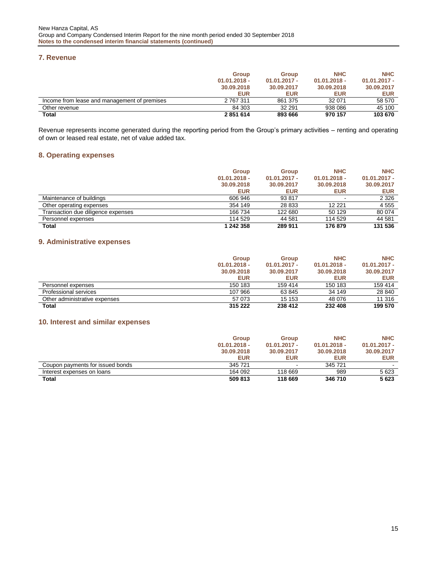#### <span id="page-14-0"></span>**7. Revenue**

|                                              | <b>Group</b>   | <b>Group</b>   | <b>NHC</b>     | <b>NHC</b>     |
|----------------------------------------------|----------------|----------------|----------------|----------------|
|                                              | $01.01.2018 -$ | $01.01.2017 -$ | $01.01.2018 -$ | $01.01.2017 -$ |
|                                              | 30.09.2018     | 30.09.2017     | 30.09.2018     | 30.09.2017     |
|                                              | <b>EUR</b>     | <b>EUR</b>     | <b>EUR</b>     | <b>EUR</b>     |
| Income from lease and management of premises | 2 767 311      | 861 375        | 32 071         | 58 570         |
| Other revenue                                | 84 303         | 32 291         | 938 086        | 45 100         |
| <b>Total</b>                                 | 2851614        | 893 666        | 970 157        | 103 670        |

Revenue represents income generated during the reporting period from the Group's primary activities – renting and operating of own or leased real estate, net of value added tax.

## <span id="page-14-1"></span>**8. Operating expenses**

|                                    | Group          | Group          | <b>NHC</b>     | <b>NHC</b>     |
|------------------------------------|----------------|----------------|----------------|----------------|
|                                    | $01.01.2018 -$ | $01.01.2017 -$ | $01.01.2018 -$ | $01.01.2017 -$ |
|                                    | 30.09.2018     | 30.09.2017     | 30.09.2018     | 30.09.2017     |
|                                    | <b>EUR</b>     | <b>EUR</b>     | <b>EUR</b>     | EUR            |
| Maintenance of buildings           | 606 946        | 93 817         | ۰              | 2 3 2 6        |
| Other operating expenses           | 354 149        | 28 833         | 12 2 2 1       | 4555           |
| Transaction due diligence expenses | 166 734        | 122 680        | 50 129         | 80 074         |
| Personnel expenses                 | 114 529        | 44 581         | 114 529        | 44 581         |
| Total                              | 1 242 358      | 289 911        | 176 879        | 131 536        |

## <span id="page-14-2"></span>**9. Administrative expenses**

|                               | Group          | Group          | <b>NHC</b>     | <b>NHC</b>     |
|-------------------------------|----------------|----------------|----------------|----------------|
|                               | $01.01.2018 -$ | $01.01.2017 -$ | $01.01.2018 -$ | $01.01.2017 -$ |
|                               | 30.09.2018     | 30.09.2017     | 30.09.2018     | 30.09.2017     |
|                               | <b>EUR</b>     | <b>EUR</b>     | <b>EUR</b>     | <b>EUR</b>     |
| Personnel expenses            | 150 183        | 159 414        | 150 183        | 159 414        |
| Professional services         | 107 966        | 63 845         | 34 149         | 28 840         |
| Other administrative expenses | 57 073         | 15 153         | 48 076         | 11 316         |
| <b>Total</b>                  | 315 222        | 238 412        | 232 408        | 199 570        |

## <span id="page-14-3"></span>**10. Interest and similar expenses**

|                                  | <b>Group</b>   | <b>Group</b>   | <b>NHC</b>     | <b>NHC</b>     |
|----------------------------------|----------------|----------------|----------------|----------------|
|                                  | $01.01.2018 -$ | $01.01.2017 -$ | $01.01.2018 -$ | $01.01.2017 -$ |
|                                  | 30.09.2018     | 30.09.2017     | 30.09.2018     | 30.09.2017     |
|                                  | <b>EUR</b>     | <b>EUR</b>     | <b>EUR</b>     | <b>EUR</b>     |
| Coupon payments for issued bonds | 345 721        | $\blacksquare$ | 345 721        |                |
| Interest expenses on loans       | 164 092        | 118 669        | 989            | 5623           |
| <b>Total</b>                     | 509 813        | 118 669        | 346 710        | 5623           |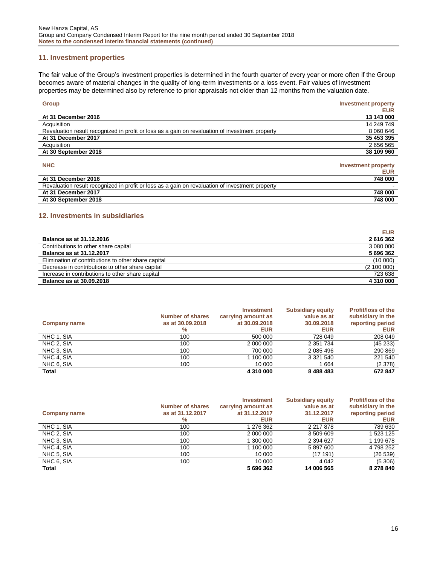## <span id="page-15-0"></span>**11. Investment properties**

The fair value of the Group's investment properties is determined in the fourth quarter of every year or more often if the Group becomes aware of material changes in the quality of long-term investments or a loss event. Fair values of investment properties may be determined also by reference to prior appraisals not older than 12 months from the valuation date.

| <b>Group</b>                                                                                    | <b>Investment property</b> |
|-------------------------------------------------------------------------------------------------|----------------------------|
|                                                                                                 | <b>EUR</b>                 |
| At 31 December 2016                                                                             | 13 143 000                 |
| Acquisition                                                                                     | 14 249 749                 |
| Revaluation result recognized in profit or loss as a gain on revaluation of investment property | 8 060 646                  |
| At 31 December 2017                                                                             | 35 453 395                 |
| Acquisition                                                                                     | 2 656 565                  |
| At 30 September 2018                                                                            | 38 109 960                 |
|                                                                                                 |                            |
| <b>NHC</b>                                                                                      | <b>Investment property</b> |
|                                                                                                 | <b>EUR</b>                 |
| At 31 December 2016                                                                             | 748 000                    |
| Revaluation result recognized in profit or loss as a gain on revaluation of investment property |                            |
| At 31 December 2017                                                                             | 748 000                    |
| At 30 September 2018                                                                            | 748 000                    |

## <span id="page-15-1"></span>**12. Investments in subsidiaries**

|                                                     | <b>EUR</b>  |
|-----------------------------------------------------|-------------|
| Balance as at 31.12.2016                            | 2616362     |
| Contributions to other share capital                | 3 080 000   |
| Balance as at 31.12.2017                            | 5696362     |
| Elimination of contributions to other share capital | (10000)     |
| Decrease in contributions to other share capital    | (2 100 000) |
| Increase in contributions to other share capital    | 723 638     |
| <b>Balance as at 30.09.2018</b>                     | 4 310 000   |

|                     | <b>Number of shares</b> | Investment<br>carrying amount as | <b>Subsidiary equity</b><br>value as at | <b>Profit/loss of the</b><br>subsidiary in the |
|---------------------|-------------------------|----------------------------------|-----------------------------------------|------------------------------------------------|
| <b>Company name</b> | as at 30,09,2018        | at 30.09.2018                    | 30.09.2018                              | reporting period                               |
|                     | $\%$                    | <b>EUR</b>                       | <b>EUR</b>                              | <b>EUR</b>                                     |
| NHC 1, SIA          | 100                     | 500 000                          | 728 049                                 | 208 049                                        |
| NHC 2, SIA          | 100                     | 2 000 000                        | 2 3 5 1 7 3 4                           | (45233)                                        |
| NHC 3, SIA          | 100                     | 700 000                          | 2 085 496                               | 290 869                                        |
| NHC 4, SIA          | 100                     | 1 100 000                        | 3 3 2 1 5 4 0                           | 221 540                                        |
| NHC 6, SIA          | 100                     | 10 000                           | 1 664                                   | (2378)                                         |
| <b>Total</b>        |                         | 4 310 000                        | 8 488 483                               | 672847                                         |

|                     |                         | <b>Investment</b>  | <b>Subsidiary equity</b> | <b>Profit/loss of the</b> |
|---------------------|-------------------------|--------------------|--------------------------|---------------------------|
|                     | <b>Number of shares</b> | carrying amount as | value as at              | subsidiary in the         |
| <b>Company name</b> | as at 31.12.2017        | at 31.12.2017      | 31.12.2017               | reporting period          |
|                     | $\%$                    | <b>EUR</b>         | <b>EUR</b>               | <b>EUR</b>                |
| NHC 1, SIA          | 100                     | 1 276 362          | 2 217 878                | 789 630                   |
| NHC 2, SIA          | 100                     | 2 000 000          | 3 509 609                | 523 125                   |
| NHC 3, SIA          | 100                     | 300 000            | 2 394 627                | 1 199 678                 |
| NHC 4, SIA          | 100                     | 1 100 000          | 5 897 600                | 4 798 252                 |
| NHC 5, SIA          | 100                     | 10 000             | (17 191)                 | (26 539)                  |
| NHC 6, SIA          | 100                     | 10 000             | 4 0 4 2                  | (5,306)                   |
| <b>Total</b>        |                         | 5 696 362          | 14 006 565               | 8 278 840                 |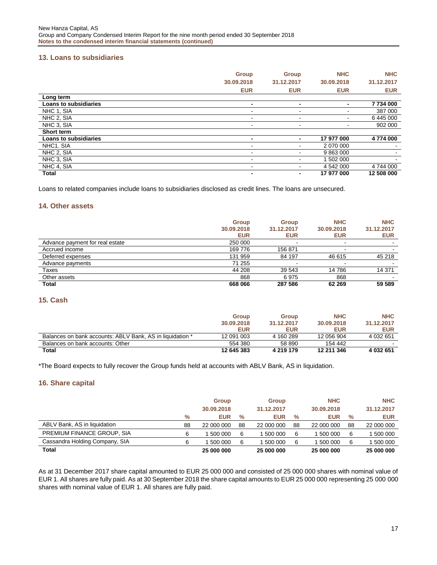## <span id="page-16-0"></span>**13. Loans to subsidiaries**

|                              | <b>Group</b>   | <b>Group</b>             | <b>NHC</b> | <b>NHC</b> |
|------------------------------|----------------|--------------------------|------------|------------|
|                              | 30.09.2018     | 31.12.2017               | 30.09.2018 | 31.12.2017 |
|                              | <b>EUR</b>     | <b>EUR</b>               | <b>EUR</b> | <b>EUR</b> |
| Long term                    |                |                          |            |            |
| <b>Loans to subsidiaries</b> | -              | -                        |            | 7734000    |
| NHC 1. SIA                   |                |                          |            | 387 000    |
| NHC 2, SIA                   | $\blacksquare$ | $\overline{\phantom{a}}$ |            | 6445000    |
| NHC 3. SIA                   | $\blacksquare$ | $\overline{\phantom{a}}$ |            | 902 000    |
| Short term                   |                |                          |            |            |
| <b>Loans to subsidiaries</b> | -              |                          | 17 977 000 | 4774 000   |
| NHC1. SIA                    | -              | -                        | 2 070 000  |            |
| NHC 2, SIA                   | -              |                          | 9 863 000  |            |
| NHC 3, SIA                   | ۰              | ۰.                       | 1 502 000  |            |
| NHC 4, SIA                   | -              | -                        | 4 542 000  | 4 744 000  |
| <b>Total</b>                 |                |                          | 17 977 000 | 12 508 000 |

Loans to related companies include loans to subsidiaries disclosed as credit lines. The loans are unsecured.

#### <span id="page-16-1"></span>**14. Other assets**

|                                 | <b>Group</b> | <b>Group</b> | <b>NHC</b> | <b>NHC</b> |
|---------------------------------|--------------|--------------|------------|------------|
|                                 | 30.09.2018   | 31.12.2017   | 30.09.2018 | 31.12.2017 |
|                                 | <b>EUR</b>   | <b>EUR</b>   | <b>EUR</b> | <b>EUR</b> |
| Advance payment for real estate | 250 000      |              |            |            |
| Accrued income                  | 169 776      | 156 871      |            |            |
| Deferred expenses               | 131 959      | 84 197       | 46 615     | 45 218     |
| Advance payments                | 71 255       |              |            |            |
| Taxes                           | 44 208       | 39 543       | 14 786     | 14 371     |
| Other assets                    | 868          | 6975         | 868        |            |
| <b>Total</b>                    | 668 066      | 287 586      | 62 269     | 59 589     |

## <span id="page-16-2"></span>**15. Cash**

|                                                           | <b>Group</b> | <b>Group</b> | <b>NHC</b> | <b>NHC</b>    |
|-----------------------------------------------------------|--------------|--------------|------------|---------------|
|                                                           | 30.09.2018   | 31.12.2017   | 30.09.2018 | 31.12.2017    |
|                                                           | <b>EUR</b>   | <b>EUR</b>   | <b>EUR</b> | <b>EUR</b>    |
| Balances on bank accounts: ABLV Bank, AS in liquidation * | 12 091 003   | 4 160 289    | 12 056 904 | 4 0 3 2 6 5 1 |
| Balances on bank accounts: Other                          | 554 380      | 58 890       | 154 442    |               |
| <b>Total</b>                                              | 12 645 383   | 4 219 179    | 12 211 346 | 4 032 651     |

\*The Board expects to fully recover the Group funds held at accounts with ABLV Bank, AS in liquidation.

#### <span id="page-16-3"></span>**16. Share capital**

|                                | <b>Group</b> |            | <b>Group</b> |            | <b>NHC</b> |            | <b>NHC</b> |            |
|--------------------------------|--------------|------------|--------------|------------|------------|------------|------------|------------|
|                                |              | 30.09.2018 |              | 31.12.2017 |            | 30.09.2018 |            | 31.12.2017 |
|                                | $\%$         | <b>EUR</b> | $\%$         | <b>EUR</b> | %          | <b>EUR</b> | %          | <b>EUR</b> |
| ABLV Bank, AS in liquidation   | 88           | 22 000 000 | 88           | 22 000 000 | 88         | 22 000 000 | 88         | 22 000 000 |
| PREMIUM FINANCE GROUP, SIA     |              | 500 000    | 6            | 500 000    | 6          | 500 000    |            | 500 000    |
| Cassandra Holding Company, SIA |              | 500 000    | 6            | 500 000    | 6          | 500 000    |            | 500 000    |
| Total                          |              | 25 000 000 |              | 25 000 000 |            | 25 000 000 |            | 25 000 000 |

As at 31 December 2017 share capital amounted to EUR 25 000 000 and consisted of 25 000 000 shares with nominal value of EUR 1. All shares are fully paid. As at 30 September 2018 the share capital amounts to EUR 25 000 000 representing 25 000 000 shares with nominal value of EUR 1. All shares are fully paid.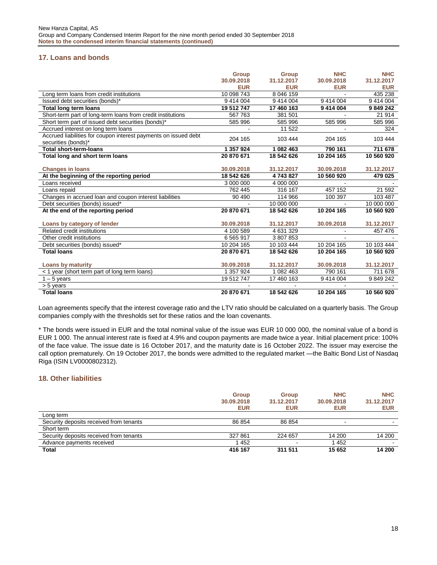## <span id="page-17-0"></span>**17. Loans and bonds**

|                                                                 | Group      | <b>Group</b> | <b>NHC</b> | <b>NHC</b> |
|-----------------------------------------------------------------|------------|--------------|------------|------------|
|                                                                 | 30.09.2018 | 31.12.2017   | 30.09.2018 | 31.12.2017 |
|                                                                 | <b>EUR</b> | <b>EUR</b>   | <b>EUR</b> | <b>EUR</b> |
| Long term loans from credit institutions                        | 10 098 743 | 8 046 159    |            | 435 238    |
| Issued debt securities (bonds)*                                 | 9 414 004  | 9 414 004    | 9 414 004  | 9 414 004  |
| <b>Total long term loans</b>                                    | 19 512 747 | 17 460 163   | 9 414 004  | 9 849 242  |
| Short-term part of long-term loans from credit institutions     | 567 763    | 381 501      |            | 21 914     |
| Short term part of issued debt securities (bonds)*              | 585 996    | 585 996      | 585 996    | 585 996    |
| Accrued interest on long term loans                             |            | 11 522       |            | 324        |
| Accrued liabilities for coupon interest payments on issued debt | 204 165    | 103 444      | 204 165    | 103 444    |
| securities (bonds)*                                             |            |              |            |            |
| <b>Total short-term-loans</b>                                   | 1 357 924  | 1 082 463    | 790 161    | 711 678    |
| Total long and short term loans                                 | 20 870 671 | 18 542 626   | 10 204 165 | 10 560 920 |
|                                                                 |            |              |            |            |
| <b>Changes in loans</b>                                         | 30.09.2018 | 31.12.2017   | 30.09.2018 | 31.12.2017 |
| At the beginning of the reporting period                        | 18 542 626 | 4743827      | 10 560 920 | 479 025    |
| Loans received                                                  | 3 000 000  | 4 000 000    |            |            |
| Loans repaid                                                    | 762 445    | 316 167      | 457 152    | 21 592     |
| Changes in accrued loan and coupon interest liabilities         | 90 490     | 114 966      | 100 397    | 103 487    |
| Debt securities (bonds) issued*                                 |            | 10 000 000   |            | 10 000 000 |
| At the end of the reporting period                              | 20 870 671 | 18 542 626   | 10 204 165 | 10 560 920 |
|                                                                 |            |              |            |            |
| Loans by category of lender                                     | 30.09.2018 | 31.12.2017   | 30.09.2018 | 31.12.2017 |
| Related credit institutions                                     | 4 100 589  | 4 631 329    |            | 457 476    |
| Other credit institutions                                       | 6 5 65 917 | 3 807 853    |            |            |
| Debt securities (bonds) issued*                                 | 10 204 165 | 10 103 444   | 10 204 165 | 10 103 444 |
| <b>Total loans</b>                                              | 20 870 671 | 18 542 626   | 10 204 165 | 10 560 920 |
|                                                                 |            |              |            |            |
| <b>Loans by maturity</b>                                        | 30.09.2018 | 31.12.2017   | 30.09.2018 | 31.12.2017 |
| < 1 year (short term part of long term loans)                   | 1 357 924  | 1 082 463    | 790 161    | 711 678    |
| $1 - 5$ years                                                   | 19 512 747 | 17 460 163   | 9 414 004  | 9 849 242  |
| > 5 years                                                       |            |              |            |            |
| <b>Total loans</b>                                              | 20 870 671 | 18 542 626   | 10 204 165 | 10 560 920 |

Loan agreements specify that the interest coverage ratio and the LTV ratio should be calculated on a quarterly basis. The Group companies comply with the thresholds set for these ratios and the loan covenants.

\* The bonds were issued in EUR and the total nominal value of the issue was EUR 10 000 000, the nominal value of a bond is EUR 1 000. The annual interest rate is fixed at 4.9% and coupon payments are made twice a year. Initial placement price: 100% of the face value. The issue date is 16 October 2017, and the maturity date is 16 October 2022. The issuer may exercise the call option prematurely. On 19 October 2017, the bonds were admitted to the regulated market —the Baltic Bond List of Nasdaq Riga (ISIN LV0000802312).

## <span id="page-17-1"></span>**18. Other liabilities**

|                                         | <b>Group</b><br>30.09.2018<br><b>EUR</b> | <b>Group</b><br>31.12.2017<br><b>EUR</b> | <b>NHC</b><br>30.09.2018<br><b>EUR</b> | <b>NHC</b><br>31.12.2017<br><b>EUR</b> |
|-----------------------------------------|------------------------------------------|------------------------------------------|----------------------------------------|----------------------------------------|
| Long term                               |                                          |                                          |                                        |                                        |
| Security deposits received from tenants | 86 854                                   | 86 854                                   | $\sim$                                 | $\sim$                                 |
| Short term                              |                                          |                                          |                                        |                                        |
| Security deposits received from tenants | 327 861                                  | 224 657                                  | 14 200                                 | 14 200                                 |
| Advance payments received               | 452                                      |                                          | 1 4 5 2                                |                                        |
| Total                                   | 416 167                                  | 311 511                                  | 15 652                                 | 14 200                                 |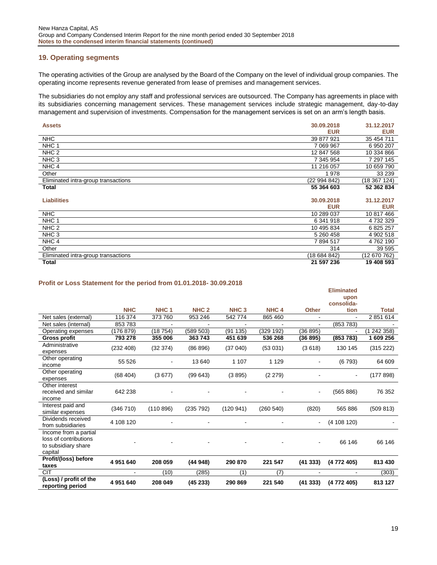## <span id="page-18-0"></span>**19. Operating segments**

The operating activities of the Group are analysed by the Board of the Company on the level of individual group companies. The operating income represents revenue generated from lease of premises and management services.

The subsidiaries do not employ any staff and professional services are outsourced. The Company has agreements in place with its subsidiaries concerning management services. These management services include strategic management, day-to-day management and supervision of investments. Compensation for the management services is set on an arm's length basis.

| 30.09.2018<br><b>Assets</b>                       | 31.12.2017   |
|---------------------------------------------------|--------------|
| <b>EUR</b>                                        | <b>EUR</b>   |
| <b>NHC</b><br>39 877 921                          | 35 454 711   |
| NHC <sub>1</sub><br>7 069 967                     | 6 950 207    |
| NHC <sub>2</sub><br>12 847 568                    | 10 334 866   |
| NHC <sub>3</sub><br>7 345 954                     | 7 297 145    |
| NHC <sub>4</sub><br>11 216 057                    | 10 659 790   |
| Other<br>978                                      | 33 239       |
| Eliminated intra-group transactions<br>(22994842) | (18 367 124) |
| 55 364 603<br>Total                               | 52 362 834   |
|                                                   |              |
| <b>Liabilities</b><br>30.09.2018                  | 31.12.2017   |
| <b>EUR</b>                                        | <b>EUR</b>   |
| <b>NHC</b><br>10 289 037                          | 10 817 466   |
| NHC 1<br>6 341 918                                | 4 732 329    |
| NHC <sub>2</sub><br>10 495 834                    | 6 825 257    |
| NHC <sub>3</sub><br>5 260 458                     | 4 902 518    |
| NHC <sub>4</sub><br>7894517                       | 4762190      |
| Other<br>314                                      | 39 595       |
| (18684842)<br>Eliminated intra-group transactions | (12 670 762) |
| <b>Total</b><br>21 597 236                        | 19 408 593   |

#### **Profit or Loss Statement for the period from 01.01.2018- 30.09.2018**

|                                                                                  |            |                  |                  |                  |                  |                | <b>Eliminated</b><br>upon<br>consolida- |              |
|----------------------------------------------------------------------------------|------------|------------------|------------------|------------------|------------------|----------------|-----------------------------------------|--------------|
|                                                                                  | <b>NHC</b> | NHC <sub>1</sub> | NHC <sub>2</sub> | NHC <sub>3</sub> | NHC <sub>4</sub> | <b>Other</b>   | tion                                    | <b>Total</b> |
| Net sales (external)                                                             | 116 374    | 373 760          | 953 246          | 542 774          | 865 460          |                |                                         | 2 851 614    |
| Net sales (internal)                                                             | 853783     |                  |                  | $\blacksquare$   |                  |                | (853 783)                               |              |
| Operating expenses                                                               | (176 879)  | (18754)          | (589 503)        | (91135)          | (329 192)        | (36 895)       |                                         | (1242358)    |
| <b>Gross profit</b>                                                              | 793 278    | 355 006          | 363743           | 451 639          | 536 268          | (36 895)       | (853 783)                               | 1 609 256    |
| Administrative<br>expenses                                                       | (232 408)  | (32374)          | (86 896)         | (37040)          | (53031)          | (3618)         | 130 145                                 | (315 222)    |
| Other operating<br>income                                                        | 55 526     |                  | 13 640           | 1 1 0 7          | 1 1 2 9          |                | (6793)                                  | 64 609       |
| Other operating<br>expenses                                                      | (68, 404)  | (3677)           | (99643)          | (3895)           | (2 279)          |                |                                         | (177898)     |
| Other interest<br>received and similar<br>income                                 | 642 238    |                  |                  |                  |                  | $\blacksquare$ | (565 886)                               | 76 352       |
| Interest paid and<br>similar expenses                                            | (346710)   | (110896)         | (235 792)        | (120941)         | (260 540)        | (820)          | 565 886                                 | (509 813)    |
| Dividends received<br>from subsidiaries                                          | 4 108 120  |                  |                  |                  |                  | ۰.             | (4108120)                               |              |
| Income from a partial<br>loss of contributions<br>to subsidiary share<br>capital |            |                  |                  |                  |                  |                | 66 146                                  | 66 146       |
| Profit/(loss) before<br>taxes                                                    | 4 951 640  | 208 059          | (44948)          | 290 870          | 221 547          | (41333)        | (4 772 405)                             | 813 430      |
| <b>CIT</b>                                                                       |            | (10)             | (285)            | (1)              | (7)              |                |                                         | (303)        |
| (Loss) / profit of the<br>reporting period                                       | 4 951 640  | 208 049          | (45233)          | 290 869          | 221 540          | (41333)        | (4 772 405)                             | 813 127      |